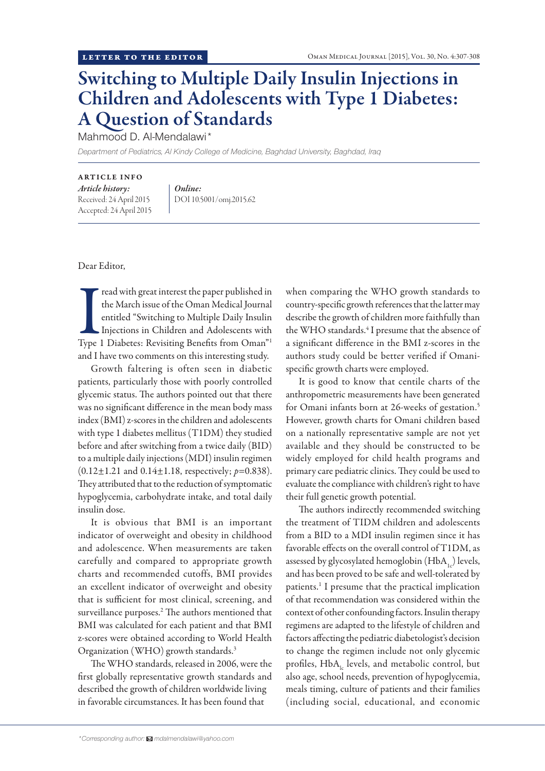## Switching to Multiple Daily Insulin Injections in Children and Adolescents with Type 1 Diabetes: A Question of Standards

Mahmood D. Al-Mendalawi\*

*Department of Pediatrics, Al Kindy College of Medicine, Baghdad University, Baghdad, Iraq*

## ARTICLE INFO

*Article history:*  Received: 24 April 2015 Accepted: 24 April 2015 *Online:* DOI 10.5001/omj.2015.62

Dear Editor,

Tread with great interest the paper published in<br>the March issue of the Oman Medical Journal<br>entitled "Switching to Multiple Daily Insulin<br>Injections in Children and Adolescents with<br>Type 1 Diabetes: Revisiting Benefits fr read with great interest the paper published in the March issue of the Oman Medical Journal entitled "Switching to Multiple Daily Insulin Injections in Children and Adolescents with and I have two comments on this interesting study.

Growth faltering is often seen in diabetic patients, particularly those with poorly controlled glycemic status. The authors pointed out that there was no significant difference in the mean body mass index (BMI) z-scores in the children and adolescents with type 1 diabetes mellitus (T1DM) they studied before and after switching from a twice daily (BID) to a multiple daily injections (MDI) insulin regimen  $(0.12 \pm 1.21$  and  $0.14 \pm 1.18$ , respectively;  $p=0.838$ ). They attributed that to the reduction of symptomatic hypoglycemia, carbohydrate intake, and total daily insulin dose.

It is obvious that BMI is an important indicator of overweight and obesity in childhood and adolescence. When measurements are taken carefully and compared to appropriate growth charts and recommended cutoffs, BMI provides an excellent indicator of overweight and obesity that is sufficient for most clinical, screening, and surveillance purposes.<sup>2</sup> The authors mentioned that BMI was calculated for each patient and that BMI z-scores were obtained according to World Health Organization (WHO) growth standards.<sup>3</sup>

The WHO standards, released in 2006, were the first globally representative growth standards and described the growth of children worldwide living in favorable circumstances. It has been found that

when comparing the WHO growth standards to country-specific growth references that the latter may describe the growth of children more faithfully than the WHO standards.<sup>4</sup> I presume that the absence of a significant difference in the BMI z-scores in the authors study could be better verified if Omanispecific growth charts were employed.

It is good to know that centile charts of the anthropometric measurements have been generated for Omani infants born at 26-weeks of gestation.<sup>5</sup> However, growth charts for Omani children based on a nationally representative sample are not yet available and they should be constructed to be widely employed for child health programs and primary care pediatric clinics. They could be used to evaluate the compliance with children's right to have their full genetic growth potential.

The authors indirectly recommended switching the treatment of TIDM children and adolescents from a BID to a MDI insulin regimen since it has favorable effects on the overall control of T1DM, as assessed by glycosylated hemoglobin  $(HbA<sub>1c</sub>)$  levels, and has been proved to be safe and well-tolerated by patients.1 I presume that the practical implication of that recommendation was considered within the context of other confounding factors. Insulin therapy regimens are adapted to the lifestyle of children and factors affecting the pediatric diabetologist's decision to change the regimen include not only glycemic profiles,  $HbA<sub>l</sub>$  levels, and metabolic control, but also age, school needs, prevention of hypoglycemia, meals timing, culture of patients and their families (including social, educational, and economic